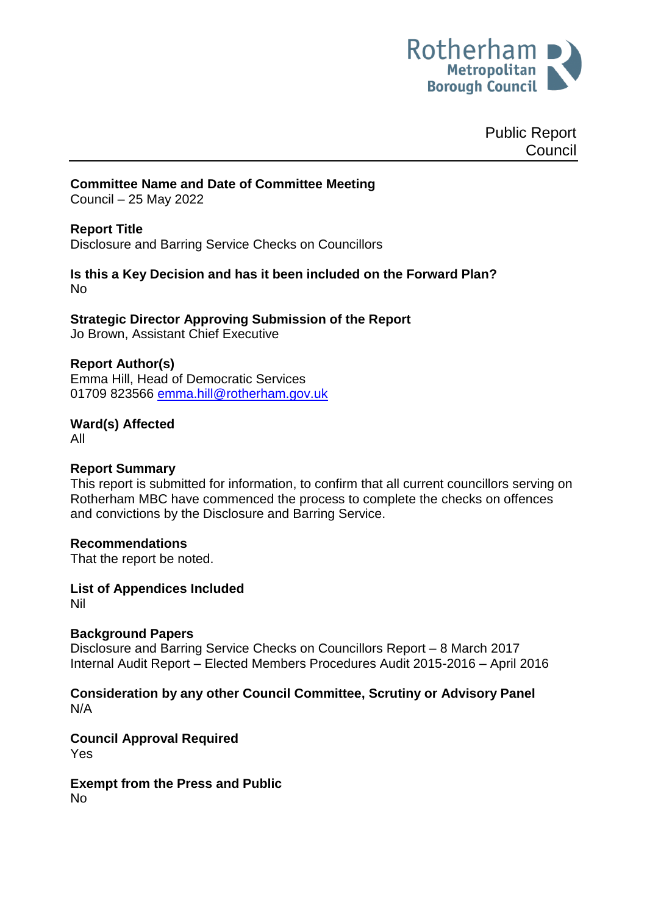

Public Report Council

# **Committee Name and Date of Committee Meeting**

Council – 25 May 2022

### **Report Title**

<span id="page-0-0"></span>Disclosure and Barring Service Checks on Councillors

### **Is this a Key Decision and has it been included on the Forward Plan?**  No

**Strategic Director Approving Submission of the Report** Jo Brown, Assistant Chief Executive

## **Report Author(s)**

<span id="page-0-1"></span>Emma Hill, Head of Democratic Services 01709 823566 [emma.hill@rotherham.gov.uk](mailto:emma.hill@rotherham.gov.uk)

**Ward(s) Affected**

All

#### **Report Summary**

This report is submitted for information, to confirm that all current councillors serving on Rotherham MBC have commenced the process to complete the checks on offences and convictions by the Disclosure and Barring Service.

#### **Recommendations**

That the report be noted.

**List of Appendices Included** Nil

## **Background Papers**

Disclosure and Barring Service Checks on Councillors Report – 8 March 2017 Internal Audit Report – Elected Members Procedures Audit 2015-2016 – April 2016

### **Consideration by any other Council Committee, Scrutiny or Advisory Panel** N/A

**Council Approval Required** Yes

**Exempt from the Press and Public** No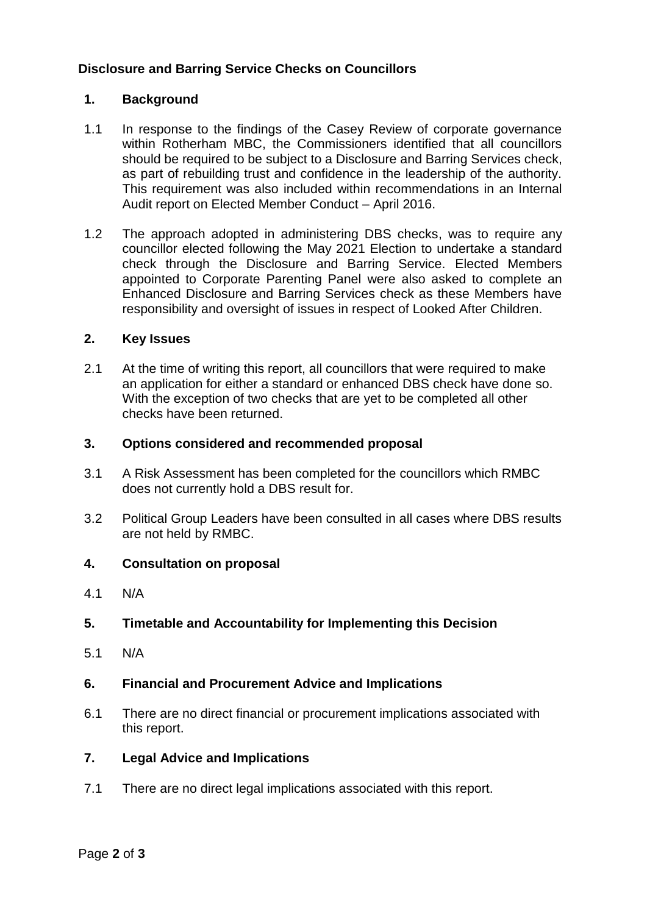# **Disclosure [and Barring Service Checks on Councillors](#page-0-0)**

## **1. Background**

- 1.1 In response to the findings of the Casey Review of corporate governance within Rotherham MBC, the Commissioners identified that all councillors should be required to be subject to a Disclosure and Barring Services check, as part of rebuilding trust and confidence in the leadership of the authority. This requirement was also included within recommendations in an Internal Audit report on Elected Member Conduct – April 2016.
- 1.2 The approach adopted in administering DBS checks, was to require any councillor elected following the May 2021 Election to undertake a standard check through the Disclosure and Barring Service. Elected Members appointed to Corporate Parenting Panel were also asked to complete an Enhanced Disclosure and Barring Services check as these Members have responsibility and oversight of issues in respect of Looked After Children.

### **2. Key Issues**

2.1 At the time of writing this report, all councillors that were required to make an application for either a standard or enhanced DBS check have done so. With the exception of two checks that are yet to be completed all other checks have been returned.

#### **3. Options considered and recommended proposal**

- 3.1 A Risk Assessment has been completed for the councillors which RMBC does not currently hold a DBS result for.
- 3.2 Political Group Leaders have been consulted in all cases where DBS results are not held by RMBC.

## **4. Consultation on proposal**

- 4.1 N/A
- **5. Timetable and Accountability for Implementing this Decision**
- 5.1 N/A
- **6. Financial and Procurement Advice and Implications**
- 6.1 There are no direct financial or procurement implications associated with this report.

#### **7. Legal Advice and Implications**

7.1 There are no direct legal implications associated with this report.